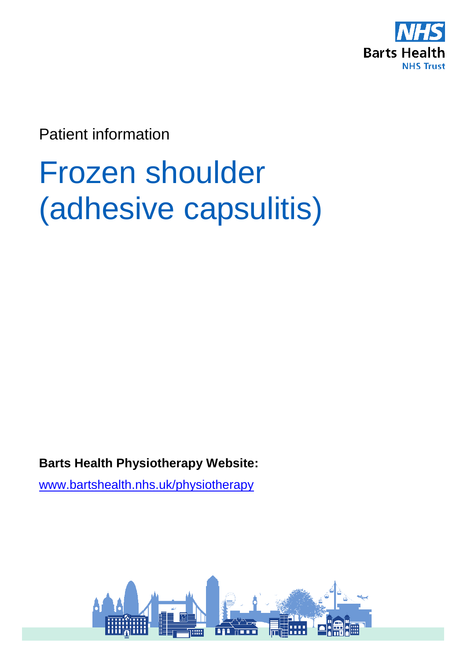

Patient information

# Frozen shoulder (adhesive capsulitis)

**Barts Health Physiotherapy Website:** 

[www.bartshealth.nhs.uk/physiotherapy](http://www.bartshealth.nhs.uk/physiotherapy)

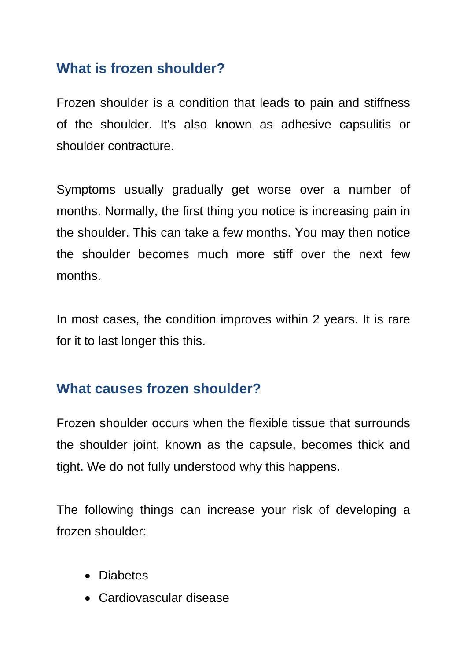# **What is frozen shoulder?**

Frozen shoulder is a condition that leads to pain and stiffness of the shoulder. It's also known as adhesive capsulitis or shoulder contracture.

Symptoms usually gradually get worse over a number of months. Normally, the first thing you notice is increasing pain in the shoulder. This can take a few months. You may then notice the shoulder becomes much more stiff over the next few months.

In most cases, the condition improves within 2 years. It is rare for it to last longer this this.

## **What causes frozen shoulder?**

Frozen shoulder occurs when the flexible tissue that surrounds the shoulder joint, known as the capsule, becomes thick and tight. We do not fully understood why this happens.

The following things can increase your risk of developing a frozen shoulder:

- Diabetes
- Cardiovascular disease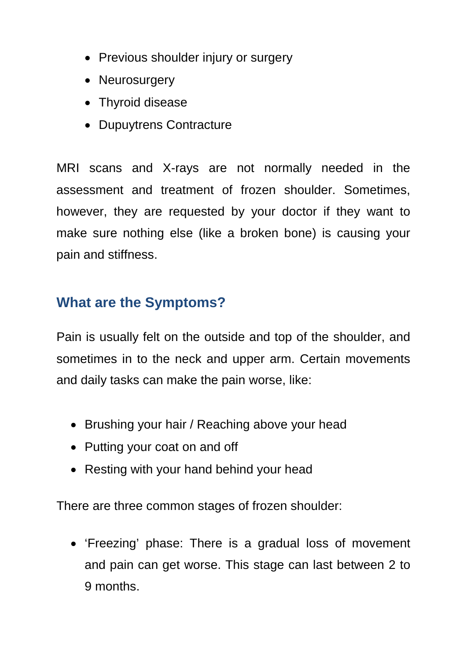- Previous shoulder injury or surgery
- Neurosurgery
- Thyroid disease
- Dupuytrens Contracture

MRI scans and X-rays are not normally needed in the assessment and treatment of frozen shoulder. Sometimes, however, they are requested by your doctor if they want to make sure nothing else (like a broken bone) is causing your pain and stiffness.

# **What are the Symptoms?**

Pain is usually felt on the outside and top of the shoulder, and sometimes in to the neck and upper arm. Certain movements and daily tasks can make the pain worse, like:

- Brushing your hair / Reaching above your head
- Putting your coat on and off
- Resting with your hand behind your head

There are three common stages of frozen shoulder:

• 'Freezing' phase: There is a gradual loss of movement and pain can get worse. This stage can last between 2 to 9 months.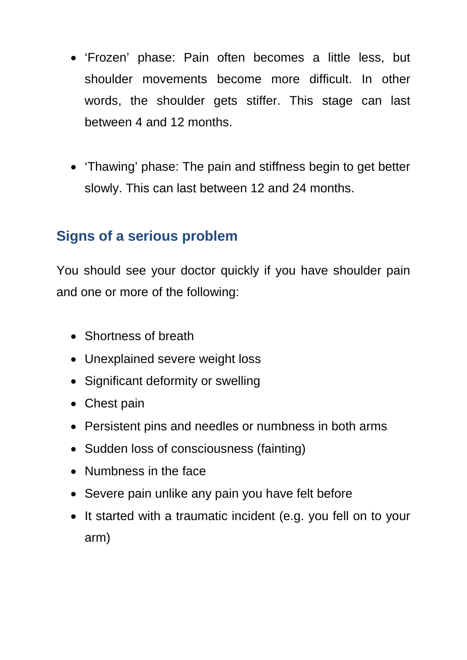- 'Frozen' phase: Pain often becomes a little less, but shoulder movements become more difficult. In other words, the shoulder gets stiffer. This stage can last between 4 and 12 months.
- 'Thawing' phase: The pain and stiffness begin to get better slowly. This can last between 12 and 24 months.

# **Signs of a serious problem**

You should see your doctor quickly if you have shoulder pain and one or more of the following:

- Shortness of breath
- Unexplained severe weight loss
- Significant deformity or swelling
- Chest pain
- Persistent pins and needles or numbness in both arms
- Sudden loss of consciousness (fainting)
- Numbness in the face
- Severe pain unlike any pain you have felt before
- It started with a traumatic incident (e.g. you fell on to your arm)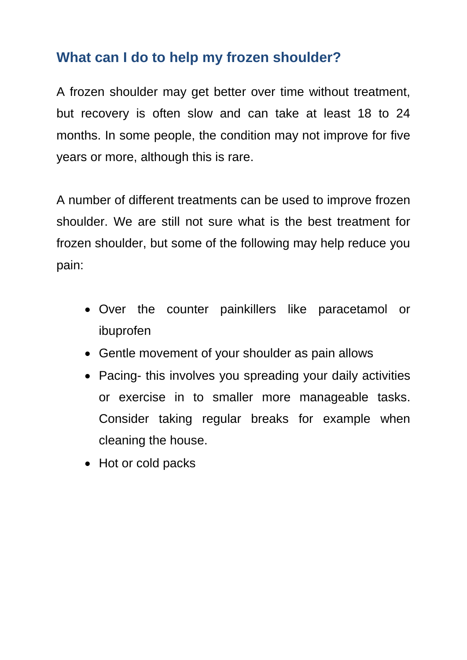# **What can I do to help my frozen shoulder?**

A frozen shoulder may get better over time without treatment, but recovery is often slow and can take at least 18 to 24 months. In some people, the condition may not improve for five years or more, although this is rare.

A number of different treatments can be used to improve frozen shoulder. We are still not sure what is the best treatment for frozen shoulder, but some of the following may help reduce you pain:

- Over the counter painkillers like paracetamol or ibuprofen
- Gentle movement of your shoulder as pain allows
- Pacing- this involves you spreading your daily activities or exercise in to smaller more manageable tasks. Consider taking regular breaks for example when cleaning the house.
- Hot or cold packs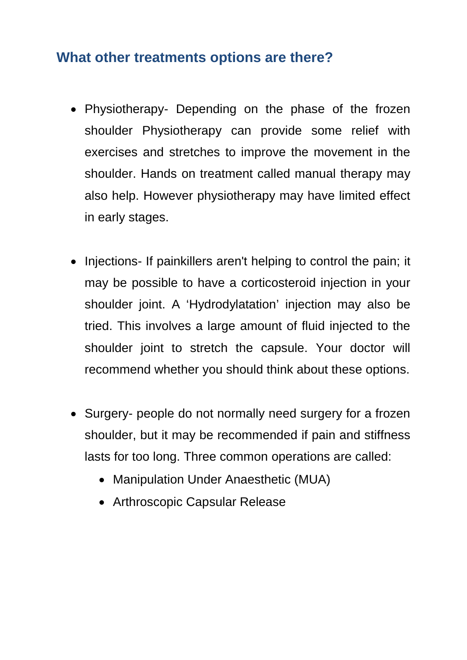### **What other treatments options are there?**

- Physiotherapy- Depending on the phase of the frozen shoulder Physiotherapy can provide some relief with exercises and stretches to improve the movement in the shoulder. Hands on treatment called manual therapy may also help. However physiotherapy may have limited effect in early stages.
- Injections- If painkillers aren't helping to control the pain; it may be possible to have a corticosteroid injection in your shoulder joint. A 'Hydrodylatation' injection may also be tried. This involves a large amount of fluid injected to the shoulder joint to stretch the capsule. Your doctor will recommend whether you should think about these options.
- Surgery- people do not normally need surgery for a frozen shoulder, but it may be recommended if pain and stiffness lasts for too long. Three common operations are called:
	- Manipulation Under Anaesthetic (MUA)
	- Arthroscopic Capsular Release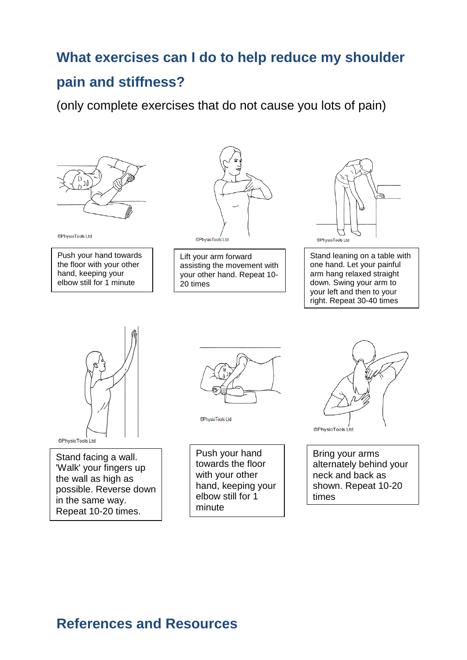### **What exercises can I do to help reduce my shoulder**

#### **pain and stiffness?**

(only complete exercises that do not cause you lots of pain)



©PhysioTools Ltd

Push your hand towards the floor with your other hand, keeping your elbow still for 1 minute



Lift your arm forward assisting the movement with your other hand. Repeat 10- 20 times



Stand leaning on a table with one hand. Let your painful arm hang relaxed straight down. Swing your arm to your left and then to your right. Repeat 30-40 times



Stand facing a wall. 'Walk' your fingers up the wall as high as possible. Reverse down in the same way. Repeat 10-20 times.



©PhysioTools Ltd

Push your hand towards the floor with your other hand, keeping your elbow still for 1 minute



Bring your arms alternately behind your neck and back as shown. Repeat 10-20 times

## **References and Resources**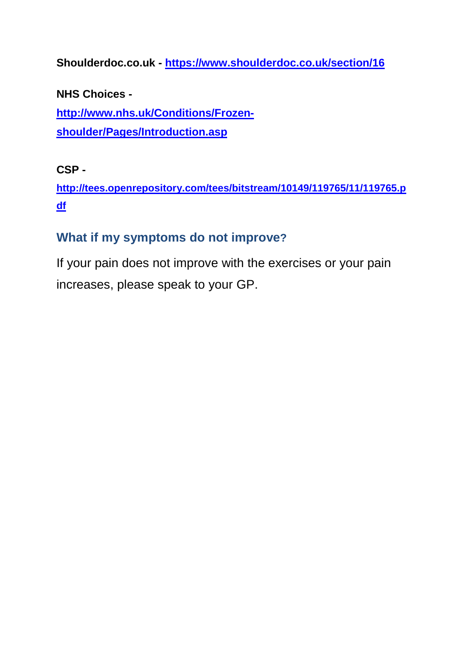**Shoulderdoc.co.uk - <https://www.shoulderdoc.co.uk/section/16>**

**NHS Choices -**

**[http://www.nhs.uk/Conditions/Frozen](http://www.nhs.uk/Conditions/Frozen-shoulder/Pages/Introduction.asp)[shoulder/Pages/Introduction.asp](http://www.nhs.uk/Conditions/Frozen-shoulder/Pages/Introduction.asp)**

#### **CSP -**

**[http://tees.openrepository.com/tees/bitstream/10149/119765/11/119765.p](http://tees.openrepository.com/tees/bitstream/10149/119765/11/119765.pdf) [df](http://tees.openrepository.com/tees/bitstream/10149/119765/11/119765.pdf)**

#### **What if my symptoms do not improve?**

If your pain does not improve with the exercises or your pain increases, please speak to your GP.